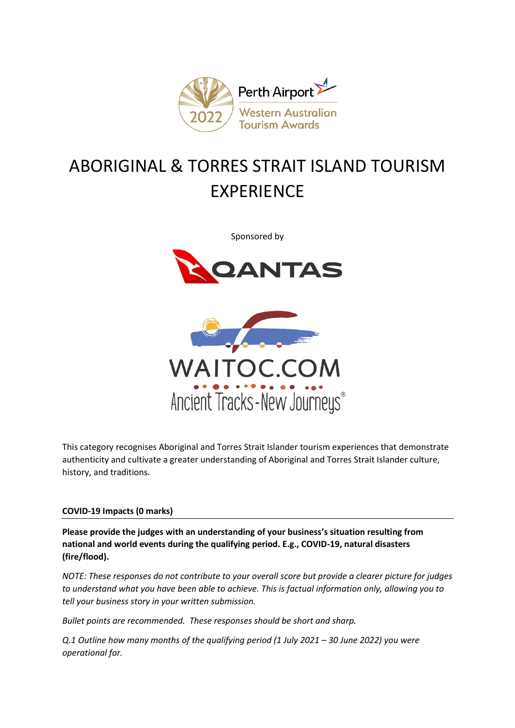

# ABORIGINAL & TORRES STRAIT ISLAND TOURISM EXPERIENCE

Sponsored by





This category recognises Aboriginal and Torres Strait Islander tourism experiences that demonstrate authenticity and cultivate a greater understanding of Aboriginal and Torres Strait Islander culture, history, and traditions.

## **COVID-19 Impacts (0 marks)**

**Please provide the judges with an understanding of your business's situation resulting from national and world events during the qualifying period. E.g., COVID-19, natural disasters (fire/flood).**

*NOTE: These responses do not contribute to your overall score but provide a clearer picture for judges to understand what you have been able to achieve. This is factual information only, allowing you to tell your business story in your written submission.* 

*Bullet points are recommended. These responses should be short and sharp.*

*Q.1 Outline how many months of the qualifying period (1 July 2021 – 30 June 2022) you were operational for.*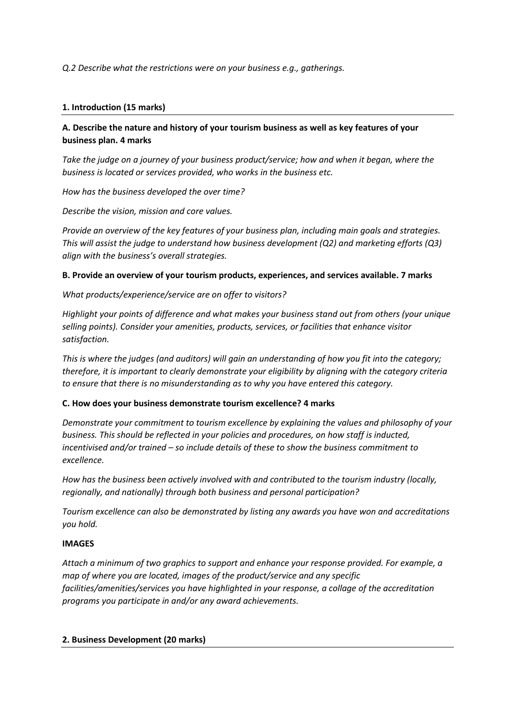*Q.2 Describe what the restrictions were on your business e.g., gatherings.*

## **1. Introduction (15 marks)**

# **A. Describe the nature and history of your tourism business as well as key features of your business plan. 4 marks**

*Take the judge on a journey of your business product/service; how and when it began, where the business is located or services provided, who works in the business etc.*

*How has the business developed the over time?*

*Describe the vision, mission and core values.* 

*Provide an overview of the key features of your business plan, including main goals and strategies. This will assist the judge to understand how business development (Q2) and marketing efforts (Q3) align with the business's overall strategies.* 

### **B. Provide an overview of your tourism products, experiences, and services available. 7 marks**

*What products/experience/service are on offer to visitors?*

*Highlight your points of difference and what makes your business stand out from others (your unique selling points). Consider your amenities, products, services, or facilities that enhance visitor satisfaction.*

*This is where the judges (and auditors) will gain an understanding of how you fit into the category; therefore, it is important to clearly demonstrate your eligibility by aligning with the category criteria to ensure that there is no misunderstanding as to why you have entered this category.*

## **C. How does your business demonstrate tourism excellence? 4 marks**

*Demonstrate your commitment to tourism excellence by explaining the values and philosophy of your business. This should be reflected in your policies and procedures, on how staff is inducted, incentivised and/or trained – so include details of these to show the business commitment to excellence.*

*How has the business been actively involved with and contributed to the tourism industry (locally, regionally, and nationally) through both business and personal participation?*

*Tourism excellence can also be demonstrated by listing any awards you have won and accreditations you hold.* 

#### **IMAGES**

*Attach a minimum of two graphics to support and enhance your response provided. For example, a map of where you are located, images of the product/service and any specific facilities/amenities/services you have highlighted in your response, a collage of the accreditation programs you participate in and/or any award achievements.* 

#### **2. Business Development (20 marks)**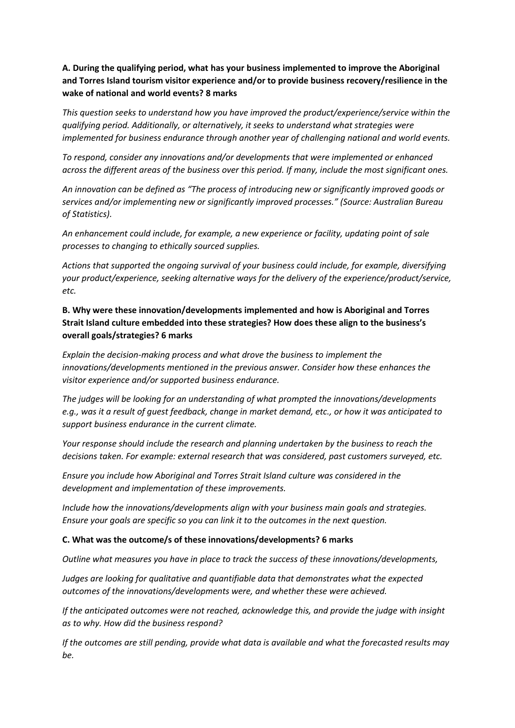# **A. During the qualifying period, what has your business implemented to improve the Aboriginal and Torres Island tourism visitor experience and/or to provide business recovery/resilience in the wake of national and world events? 8 marks**

*This question seeks to understand how you have improved the product/experience/service within the qualifying period. Additionally, or alternatively, it seeks to understand what strategies were implemented for business endurance through another year of challenging national and world events.* 

*To respond, consider any innovations and/or developments that were implemented or enhanced across the different areas of the business over this period. If many, include the most significant ones.*

*An innovation can be defined as "The process of introducing new or significantly improved goods or services and/or implementing new or significantly improved processes." (Source: Australian Bureau of Statistics).*

*An enhancement could include, for example, a new experience or facility, updating point of sale processes to changing to ethically sourced supplies.* 

*Actions that supported the ongoing survival of your business could include, for example, diversifying your product/experience, seeking alternative ways for the delivery of the experience/product/service, etc.*

# **B. Why were these innovation/developments implemented and how is Aboriginal and Torres Strait Island culture embedded into these strategies? How does these align to the business's overall goals/strategies? 6 marks**

*Explain the decision-making process and what drove the business to implement the innovations/developments mentioned in the previous answer. Consider how these enhances the visitor experience and/or supported business endurance.* 

*The judges will be looking for an understanding of what prompted the innovations/developments e.g., was it a result of guest feedback, change in market demand, etc., or how it was anticipated to support business endurance in the current climate.*

*Your response should include the research and planning undertaken by the business to reach the decisions taken. For example: external research that was considered, past customers surveyed, etc.* 

*Ensure you include how Aboriginal and Torres Strait Island culture was considered in the development and implementation of these improvements.*

*Include how the innovations/developments align with your business main goals and strategies. Ensure your goals are specific so you can link it to the outcomes in the next question.*

#### **C. What was the outcome/s of these innovations/developments? 6 marks**

*Outline what measures you have in place to track the success of these innovations/developments,*

*Judges are looking for qualitative and quantifiable data that demonstrates what the expected outcomes of the innovations/developments were, and whether these were achieved.*

*If the anticipated outcomes were not reached, acknowledge this, and provide the judge with insight as to why. How did the business respond?*

*If the outcomes are still pending, provide what data is available and what the forecasted results may be.*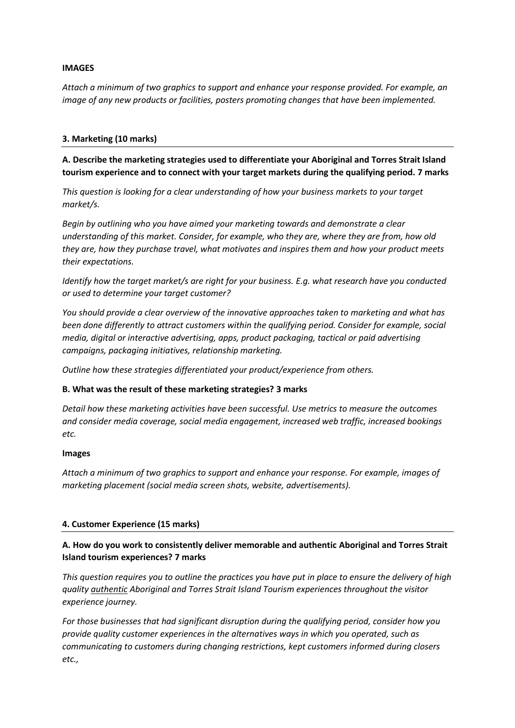#### **IMAGES**

*Attach a minimum of two graphics to support and enhance your response provided. For example, an image of any new products or facilities, posters promoting changes that have been implemented.*

## **3. Marketing (10 marks)**

**A. Describe the marketing strategies used to differentiate your Aboriginal and Torres Strait Island tourism experience and to connect with your target markets during the qualifying period. 7 marks**

*This question is looking for a clear understanding of how your business markets to your target market/s.*

*Begin by outlining who you have aimed your marketing towards and demonstrate a clear understanding of this market. Consider, for example, who they are, where they are from, how old they are, how they purchase travel, what motivates and inspires them and how your product meets their expectations.* 

*Identify how the target market/s are right for your business. E.g. what research have you conducted or used to determine your target customer?*

*You should provide a clear overview of the innovative approaches taken to marketing and what has been done differently to attract customers within the qualifying period. Consider for example, social media, digital or interactive advertising, apps, product packaging, tactical or paid advertising campaigns, packaging initiatives, relationship marketing.*

*Outline how these strategies differentiated your product/experience from others.* 

## **B. What was the result of these marketing strategies? 3 marks**

*Detail how these marketing activities have been successful. Use metrics to measure the outcomes and consider media coverage, social media engagement, increased web traffic, increased bookings etc.* 

#### **Images**

*Attach a minimum of two graphics to support and enhance your response. For example, images of marketing placement (social media screen shots, website, advertisements).*

#### **4. Customer Experience (15 marks)**

# **A. How do you work to consistently deliver memorable and authentic Aboriginal and Torres Strait Island tourism experiences? 7 marks**

*This question requires you to outline the practices you have put in place to ensure the delivery of high quality authentic Aboriginal and Torres Strait Island Tourism experiences throughout the visitor experience journey.* 

*For those businesses that had significant disruption during the qualifying period, consider how you provide quality customer experiences in the alternatives ways in which you operated, such as communicating to customers during changing restrictions, kept customers informed during closers etc.,*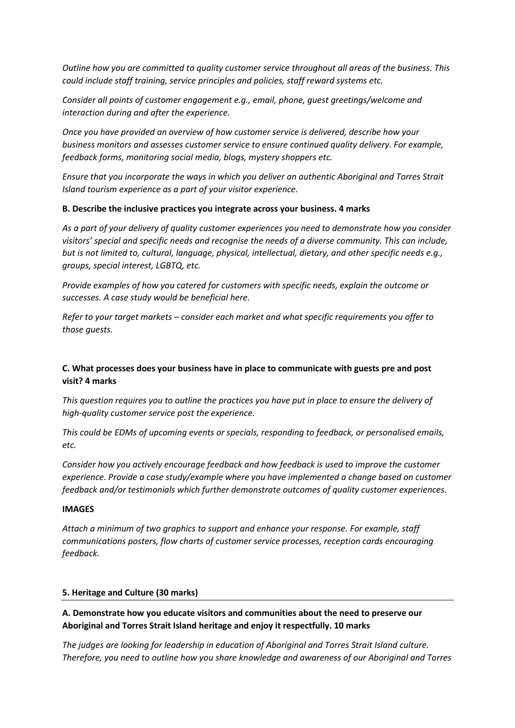*Outline how you are committed to quality customer service throughout all areas of the business. This could include staff training, service principles and policies, staff reward systems etc.* 

*Consider all points of customer engagement e.g., email, phone, guest greetings/welcome and interaction during and after the experience.*

*Once you have provided an overview of how customer service is delivered, describe how your business monitors and assesses customer service to ensure continued quality delivery. For example, feedback forms, monitoring social media, blogs, mystery shoppers etc.* 

*Ensure that you incorporate the ways in which you deliver an authentic Aboriginal and Torres Strait Island tourism experience as a part of your visitor experience.* 

### **B. Describe the inclusive practices you integrate across your business. 4 marks**

*As a part of your delivery of quality customer experiences you need to demonstrate how you consider visitors' special and specific needs and recognise the needs of a diverse community. This can include, but is not limited to, cultural, language, physical, intellectual, dietary, and other specific needs e.g., groups, special interest, LGBTQ, etc.*

*Provide examples of how you catered for customers with specific needs, explain the outcome or successes. A case study would be beneficial here.* 

*Refer to your target markets – consider each market and what specific requirements you offer to those guests.*

# **C. What processes does your business have in place to communicate with guests pre and post visit? 4 marks**

*This question requires you to outline the practices you have put in place to ensure the delivery of high-quality customer service post the experience.* 

*This could be EDMs of upcoming events or specials, responding to feedback, or personalised emails, etc.*

*Consider how you actively encourage feedback and how feedback is used to improve the customer experience. Provide a case study/example where you have implemented a change based on customer feedback and/or testimonials which further demonstrate outcomes of quality customer experiences.* 

#### **IMAGES**

*Attach a minimum of two graphics to support and enhance your response. For example, staff communications posters, flow charts of customer service processes, reception cards encouraging feedback.* 

## **5. Heritage and Culture (30 marks)**

# **A. Demonstrate how you educate visitors and communities about the need to preserve our Aboriginal and Torres Strait Island heritage and enjoy it respectfully. 10 marks**

*The judges are looking for leadership in education of Aboriginal and Torres Strait Island culture. Therefore, you need to outline how you share knowledge and awareness of our Aboriginal and Torres*